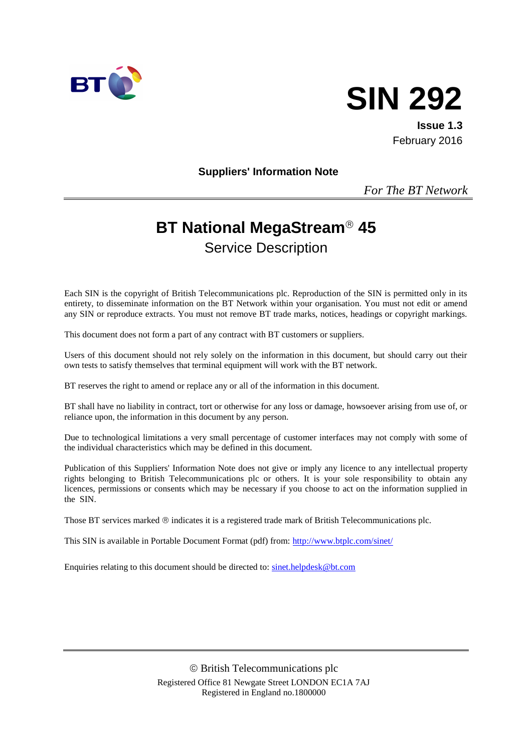



**Issue 1.3** February 2016

**Suppliers' Information Note**

*For The BT Network*

# **BT National MegaStream<sup>®</sup> 45**

Service Description

Each SIN is the copyright of British Telecommunications plc. Reproduction of the SIN is permitted only in its entirety, to disseminate information on the BT Network within your organisation. You must not edit or amend any SIN or reproduce extracts. You must not remove BT trade marks, notices, headings or copyright markings.

This document does not form a part of any contract with BT customers or suppliers.

Users of this document should not rely solely on the information in this document, but should carry out their own tests to satisfy themselves that terminal equipment will work with the BT network.

BT reserves the right to amend or replace any or all of the information in this document.

BT shall have no liability in contract, tort or otherwise for any loss or damage, howsoever arising from use of, or reliance upon, the information in this document by any person.

Due to technological limitations a very small percentage of customer interfaces may not comply with some of the individual characteristics which may be defined in this document.

Publication of this Suppliers' Information Note does not give or imply any licence to any intellectual property rights belonging to British Telecommunications plc or others. It is your sole responsibility to obtain any licences, permissions or consents which may be necessary if you choose to act on the information supplied in the SIN.

Those BT services marked  $\circledcirc$  indicates it is a registered trade mark of British Telecommunications plc.

This SIN is available in Portable Document Format (pdf) from:<http://www.btplc.com/sinet/>

Enquiries relating to this document should be directed to: [sinet.helpdesk@bt.com](mailto:sinet.helpdesk@bt.com)

 British Telecommunications plc Registered Office 81 Newgate Street LONDON EC1A 7AJ Registered in England no.1800000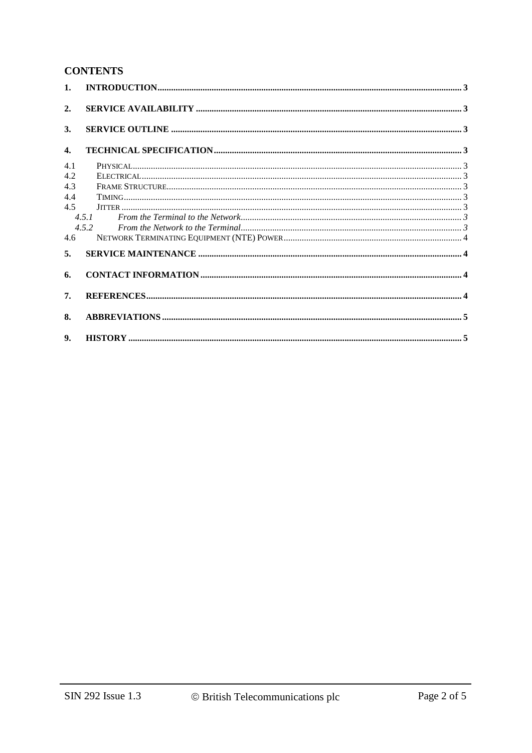### **CONTENTS**

| 1.           |       |  |
|--------------|-------|--|
| 2.           |       |  |
| 3.           |       |  |
| $\mathbf{4}$ |       |  |
| 4.1          |       |  |
| 4.2          |       |  |
| 4.3          |       |  |
| 4.4          |       |  |
| 4.5          |       |  |
|              | 4.5.1 |  |
|              | 4.5.2 |  |
| 4.6          |       |  |
| 5.           |       |  |
| 6.           |       |  |
| 7.           |       |  |
| 8.           |       |  |
| 9.           |       |  |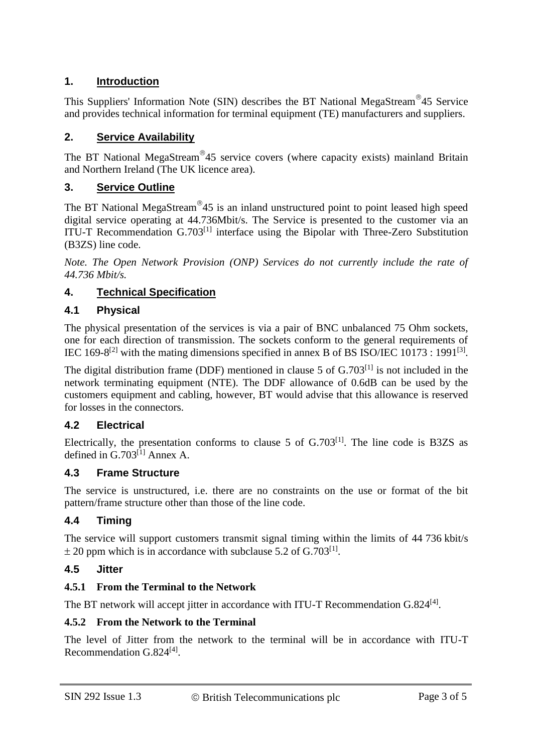# **1. Introduction**

This Suppliers' Information Note (SIN) describes the BT National MegaStream 45 Service and provides technical information for terminal equipment (TE) manufacturers and suppliers.

## **2. Service Availability**

The BT National MegaStream<sup>®</sup>45 service covers (where capacity exists) mainland Britain and Northern Ireland (The UK licence area).

#### **3. Service Outline**

The BT National MegaStream<sup>®</sup>45 is an inland unstructured point to point leased high speed digital service operating at 44.736Mbit/s. The Service is presented to the customer via an ITU-T Recommendation  $G.703^{[1]}$  interface using the Bipolar with Three-Zero Substitution (B3ZS) line code.

*Note. The Open Network Provision (ONP) Services do not currently include the rate of 44.736 Mbit/s.*

#### **4. Technical Specification**

#### **4.1 Physical**

The physical presentation of the services is via a pair of BNC unbalanced 75 Ohm sockets, one for each direction of transmission. The sockets conform to the general requirements of IEC 169-8<sup>[2]</sup> with the mating dimensions specified in annex B of BS ISO/IEC 10173 : 1991<sup>[3]</sup>.

The digital distribution frame (DDF) mentioned in clause 5 of  $G.703^{[1]}$  is not included in the network terminating equipment (NTE). The DDF allowance of 0.6dB can be used by the customers equipment and cabling, however, BT would advise that this allowance is reserved for losses in the connectors.

#### **4.2 Electrical**

Electrically, the presentation conforms to clause 5 of  $G.703^{[1]}$ . The line code is B3ZS as defined in G.703<sup>[1]</sup> Annex A.

#### **4.3 Frame Structure**

The service is unstructured, i.e. there are no constraints on the use or format of the bit pattern/frame structure other than those of the line code.

#### **4.4 Timing**

The service will support customers transmit signal timing within the limits of 44 736 kbit/s  $\pm$  20 ppm which is in accordance with subclause 5.2 of G.703<sup>[1]</sup>.

#### **4.5 Jitter**

#### **4.5.1 From the Terminal to the Network**

The BT network will accept jitter in accordance with ITU-T Recommendation G.824<sup>[4]</sup>.

#### **4.5.2 From the Network to the Terminal**

The level of Jitter from the network to the terminal will be in accordance with ITU-T Recommendation G.824<sup>[4]</sup>.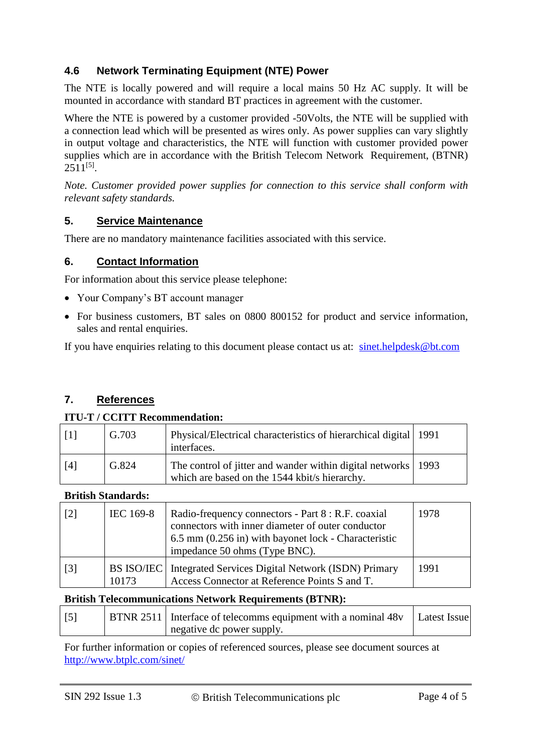# **4.6 Network Terminating Equipment (NTE) Power**

The NTE is locally powered and will require a local mains 50 Hz AC supply. It will be mounted in accordance with standard BT practices in agreement with the customer.

Where the NTE is powered by a customer provided -50Volts, the NTE will be supplied with a connection lead which will be presented as wires only. As power supplies can vary slightly in output voltage and characteristics, the NTE will function with customer provided power supplies which are in accordance with the British Telecom Network Requirement, (BTNR)  $2511^{[5]}$ .

*Note. Customer provided power supplies for connection to this service shall conform with relevant safety standards.*

#### **5. Service Maintenance**

There are no mandatory maintenance facilities associated with this service.

#### **6. Contact Information**

For information about this service please telephone:

- Your Company's BT account manager
- For business customers, BT sales on 0800 800152 for product and service information, sales and rental enquiries.

If you have enquiries relating to this document please contact us at: [sinet.helpdesk@bt.com](mailto:sinet.helpdesk@bt.com)

# **7. References**

#### **ITU-T / CCITT Recommendation:**

| -11 | G.703 | Physical/Electrical characteristics of hierarchical digital 1991<br>interfaces.                                  |  |
|-----|-------|------------------------------------------------------------------------------------------------------------------|--|
| [4] | G.824 | The control of jitter and wander within digital networks   1993<br>which are based on the 1544 kbit/s hierarchy. |  |

#### **British Standards:**

| $\lceil 2 \rceil$ | IEC 169-8           | Radio-frequency connectors - Part 8 : R.F. coaxial<br>connectors with inner diameter of outer conductor<br>6.5 mm (0.256 in) with bayonet lock - Characteristic<br>impedance 50 ohms (Type BNC). | 1978 |
|-------------------|---------------------|--------------------------------------------------------------------------------------------------------------------------------------------------------------------------------------------------|------|
| $\lceil 3 \rceil$ | BS ISO/IEC<br>10173 | Integrated Services Digital Network (ISDN) Primary<br>Access Connector at Reference Points S and T.                                                                                              | 1991 |

#### **British Telecommunications Network Requirements (BTNR):**

| $\lceil 5 \rceil$ | <b>BTNR 2511</b> Interface of telecomms equipment with a nominal 48y Latest Issue |  |
|-------------------|-----------------------------------------------------------------------------------|--|
|                   | negative dc power supply.                                                         |  |

For further information or copies of referenced sources, please see document sources at <http://www.btplc.com/sinet/>